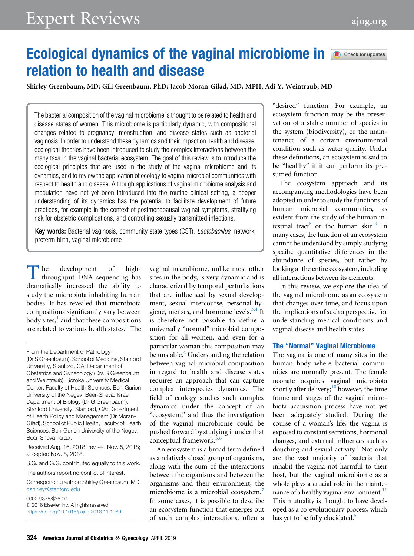# Expert Reviews [ajog.org](http://www.AJOG.org)

## Ecological dynamics of the vaginal microbiome in **OR** Check for updates relation to health and disease

Shirley Greenbaum, MD; Gili Greenbaum, PhD; Jacob Moran-Gilad, MD, MPH; Adi Y. Weintraub, MD

The bacterial composition of the vaginal microbiome is thought to be related to health and disease states of women. This microbiome is particularly dynamic, with compositional changes related to pregnancy, menstruation, and disease states such as bacterial vaginosis. In order to understand these dynamics and their impact on health and disease, ecological theories have been introduced to study the complex interactions between the many taxa in the vaginal bacterial ecosystem. The goal of this review is to introduce the ecological principles that are used in the study of the vaginal microbiome and its dynamics, and to review the application of ecology to vaginal microbial communities with respect to health and disease. Although applications of vaginal microbiome analysis and modulation have not yet been introduced into the routine clinical setting, a deeper understanding of its dynamics has the potential to facilitate development of future practices, for example in the context of postmenopausal vaginal symptoms, stratifying risk for obstetric complications, and controlling sexually transmitted infections.

Key words: Bacterial vaginosis, community state types (CST), Lactobacillus, network, preterm birth, vaginal microbiome

The development of highdramatically increased the ability to study the microbiota inhabiting human bodies. It has revealed that microbiota compositions significantly vary between body sites, $\frac{1}{1}$  $\frac{1}{1}$  $\frac{1}{1}$  and that these compositions are related to various health states. $<sup>2</sup>$  $<sup>2</sup>$  $<sup>2</sup>$  The</sup>

Received Aug. 16, 2018; revised Nov. 5, 2018; accepted Nov. 8, 2018.

S.G. and G.G. contributed equally to this work. The authors report no conflict of interest.

Corresponding author: Shirley Greenbaum, MD. [gshirley@stanford.edu](mailto:gshirley@stanford.edu)

0002-9378/\$36.00  $©$  2018 Elsevier Inc. All rights reserved. <https://doi.org/10.1016/j.ajog.2018.11.1089> vaginal microbiome, unlike most other sites in the body, is very dynamic and is characterized by temporal perturbations that are influenced by sexual development, sexual intercourse, personal hygiene, menses, and hormone levels. $3,4$  It is therefore not possible to define a universally "normal" microbial composition for all women, and even for a particular woman this composition may be unstable.<sup>[4](#page-9-0)</sup> Understanding the relation between vaginal microbial composition in regard to health and disease states requires an approach that can capture complex interspecies dynamics. The field of ecology studies such complex dynamics under the concept of an "ecosystem," and thus the investigation of the vaginal microbiome could be pushed forward by studying it under that conceptual framework. $5,6$ 

An ecosystem is a broad term defined as a relatively closed group of organisms, along with the sum of the interactions between the organisms and between the organisms and their environment; the microbiome is a microbial ecosystem.<sup>[7](#page-9-0)</sup> In some cases, it is possible to describe an ecosystem function that emerges out of such complex interactions, often a

"desired" function. For example, an ecosystem function may be the preservation of a stable number of species in the system (biodiversity), or the maintenance of a certain environmental condition such as water quality. Under these definitions, an ecosystem is said to be "healthy" if it can perform its presumed function.

The ecosystem approach and its accompanying methodologies have been adopted in order to study the functions of human microbial communities, as evident from the study of the human in-testinal tract<sup>8</sup> or the human skin.<sup>[9](#page-9-0)</sup> In many cases, the function of an ecosystem cannot be understood by simply studying specific quantitative differences in the abundance of species, but rather by looking at the entire ecosystem, including all interactions between its elements.

In this review, we explore the idea of the vaginal microbiome as an ecosystem that changes over time, and focus upon the implications of such a perspective for understanding medical conditions and vaginal disease and health states.

#### The "Normal" Vaginal Microbiome

The vagina is one of many sites in the human body where bacterial communities are normally present. The female neonate acquires vaginal microbiota shortly after delivery; $10$  however, the time frame and stages of the vaginal microbiota acquisition process have not yet been adequately studied. During the course of a woman's life, the vagina is exposed to constant secretions, hormonal changes, and external influences such as douching and sexual activity.[4](#page-9-0) Not only are the vast majority of bacteria that inhabit the vagina not harmful to their host, but the vaginal microbiome as a whole plays a crucial role in the maintenance of a healthy vaginal environment.<sup>11</sup> This mutuality is thought to have developed as a co-evolutionary process, which has yet to be fully elucidated.<sup>[5](#page-9-0)</sup>

From the Department of Pathology (Dr S Greenbaum), School of Medicine, Stanford University, Stanford, CA; Department of Obstetrics and Gynecology (Drs S Greenbaum and Weintraub), Soroka University Medical Center, Faculty of Health Sciences, Ben-Gurion University of the Negev, Beer-Sheva, Israel; Department of Biology (Dr G Greenbaum), Stanford University, Stanford, CA; Department of Health Policy and Management (Dr Moran-Gilad), School of Public Health, Faculty of Health Sciences, Ben-Gurion University of the Negev, Beer-Sheva, Israel.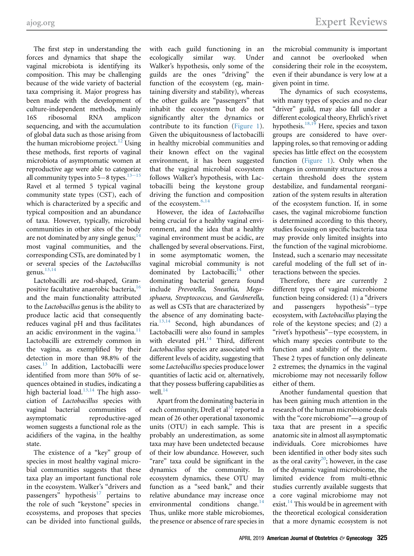The first step in understanding the forces and dynamics that shape the vaginal microbiota is identifying its composition. This may be challenging because of the wide variety of bacterial taxa comprising it. Major progress has been made with the development of culture-independent methods, mainly 16S ribosomal RNA amplicon sequencing, and with the accumulation of global data such as those arising from the human microbiome project.<sup>[12](#page-9-0)</sup> Using these methods, first reports of vaginal microbiota of asymptomatic women at reproductive age were able to categorize all community types into  $5-8$  types.<sup>[13](#page-9-0)–15</sup> Ravel et al termed 5 typical vaginal community state types (CST), each of which is characterized by a specific and typical composition and an abundance of taxa. However, typically, microbial communities in other sites of the body are not dominated by any single genus; $14$ most vaginal communities, and the corresponding CSTs, are dominated by 1 or several species of the Lactobacillus genus.<sup>13,14</sup>

Lactobacilli are rod-shaped, Gram-positive facultative anaerobic bacteria,<sup>[16](#page-9-0)</sup> and the main functionality attributed to the Lactobacillus genus is the ability to produce lactic acid that consequently reduces vaginal pH and thus facilitates an acidic environment in the vagina. $11$ Lactobacilli are extremely common in the vagina, as exemplified by their detection in more than 98.8% of the cases. $13$  In addition, Lactobacilli were identified from more than 50% of sequences obtained in studies, indicating a high bacterial load. $13,14$  The high association of Lactobacillus species with vaginal bacterial communities of asymptomatic reproductive-aged women suggests a functional role as the acidifiers of the vagina, in the healthy state.

The existence of a "key" group of species in most healthy vaginal microbial communities suggests that these taxa play an important functional role in the ecosystem. Walker's "drivers and passengers" hypothesis $17$  pertains to the role of such "keystone" species in ecosystems, and proposes that species can be divided into functional guilds,

with each guild functioning in an ecologically similar way. Under Walker's hypothesis, only some of the guilds are the ones "driving" the function of the ecosystem (eg, maintaining diversity and stability), whereas the other guilds are "passengers" that inhabit the ecosystem but do not significantly alter the dynamics or contribute to its function ([Figure 1\)](#page-2-0). Given the ubiquitousness of lactobacilli in healthy microbial communities and their known effect on the vaginal environment, it has been suggested that the vaginal microbial ecosystem follows Walker's hypothesis, with Lactobacilli being the keystone group driving the function and composition of the ecosystem.<sup>[6,14](#page-9-0)</sup>

However, the idea of Lactobacillus being crucial for a healthy vaginal environment, and the idea that a healthy vaginal environment must be acidic, are challenged by several observations. First, in some asymptomatic women, the vaginal microbial community is not dominated by Lactobacilli; $14$  other dominating bacterial genera found include Prevotella, Sneathia, Megasphaera, Streptococcus, and Gardnerella, as well as CSTs that are characterized by the absence of any dominating bacteria.[13,14](#page-9-0) Second, high abundances of Lactobacilli were also found in samples with elevated  $pH.<sup>14</sup>$  $pH.<sup>14</sup>$  $pH.<sup>14</sup>$  Third, different Lactobacillus species are associated with different levels of acidity, suggesting that some Lactobacillus species produce lower quantities of lactic acid or, alternatively, that they possess buffering capabilities as well. $^{14}$  $^{14}$  $^{14}$ 

Apart from the dominating bacteria in each community, Drell et al $^{13}$  $^{13}$  $^{13}$  reported a mean of 26 other operational taxonomic units (OTU) in each sample. This is probably an underestimation, as some taxa may have been undetected because of their low abundance. However, such "rare" taxa could be significant in the dynamics of the community. In ecosystem dynamics, these OTU may function as a "seed bank," and their relative abundance may increase once environmental conditions change. $14$ Thus, unlike more stable microbiomes, the presence or absence of rare species in

the microbial community is important and cannot be overlooked when considering their role in the ecosystem, even if their abundance is very low at a given point in time.

The dynamics of such ecosystems, with many types of species and no clear "driver" guild, may also fall under a different ecological theory, Ehrlich's rivet hypothesis. $18,19$  Here, species and taxon groups are considered to have overlapping roles, so that removing or adding species has little effect on the ecosystem function ([Figure 1\)](#page-2-0). Only when the changes in community structure cross a certain threshold does the system destabilize, and fundamental reorganization of the system results in alteration of the ecosystem function. If, in some cases, the vaginal microbiome function is determined according to this theory, studies focusing on specific bacteria taxa may provide only limited insights into the function of the vaginal microbiome. Instead, such a scenario may necessitate careful modeling of the full set of interactions between the species.

Therefore, there are currently 2 different types of vaginal microbiome function being considered: (1) a "drivers and passengers hypothesis"-type ecosystem, with Lactobacillus playing the role of the keystone species; and (2) a "rivet's hypothesis"-type ecosystem, in which many species contribute to the function and stability of the system. These 2 types of function only delineate 2 extremes; the dynamics in the vaginal microbiome may not necessarily follow either of them.

Another fundamental question that has been gaining much attention in the research of the human microbiome deals with the "core microbiome"—a group of taxa that are present in a specific anatomic site in almost all asymptomatic individuals. Core microbiomes have been identified in other body sites such as the oral cavity<sup>20</sup>; however, in the case of the dynamic vaginal microbiome, the limited evidence from multi-ethnic studies currently available suggests that a core vaginal microbiome may not exist.<sup>[14](#page-9-0)</sup> This would be in agreement with the theoretical ecological consideration that a more dynamic ecosystem is not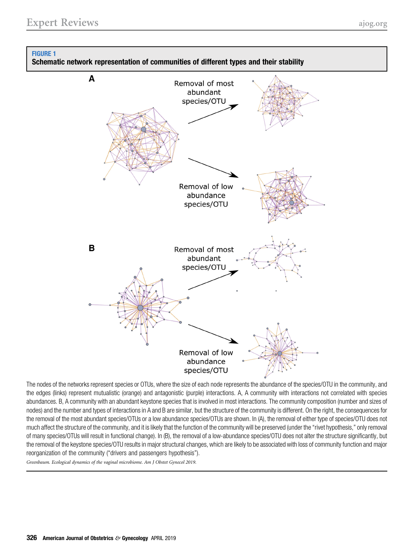<span id="page-2-0"></span>

The nodes of the networks represent species or OTUs, where the size of each node represents the abundance of the species/OTU in the community, and the edges (links) represent mutualistic (orange) and antagonistic (purple) interactions. A, A community with interactions not correlated with species abundances. B, A community with an abundant keystone species that is involved in most interactions. The community composition (number and sizes of nodes) and the number and types of interactions in A and B are similar, but the structure of the community is different. On the right, the consequences for the removal of the most abundant species/OTUs or a low abundance species/OTUs are shown. In (A), the removal of either type of species/OTU does not much affect the structure of the community, and it is likely that the function of the community will be preserved (under the "rivet hypothesis," only removal of many species/OTUs will result in functional change). In (B), the removal of a low-abundance species/OTU does not alter the structure significantly, but the removal of the keystone species/OTU results in major structural changes, which are likely to be associated with loss of community function and major reorganization of the community ("drivers and passengers hypothesis").

Greenbaum. Ecological dynamics of the vaginal microbiome. Am J Obstet Gynecol 2019.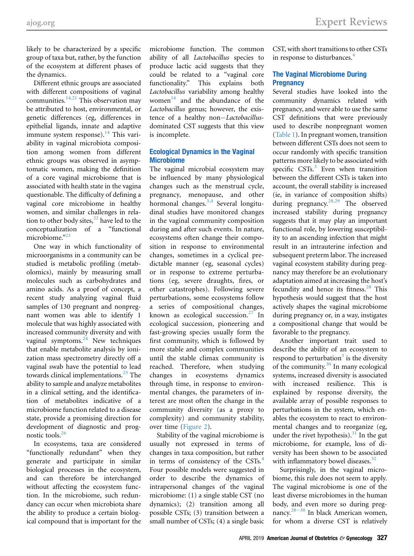likely to be characterized by a specific group of taxa but, rather, by the function of the ecosystem at different phases of the dynamics.

Different ethnic groups are associated with different compositions of vaginal communities. $14,21$  This observation may be attributed to host, environmental, or genetic differences (eg, differences in epithelial ligands, innate and adaptive immune system response). $14$  This variability in vaginal microbiota composition among women from different ethnic groups was observed in asymptomatic women, making the definition of a core vaginal microbiome that is associated with health state in the vagina questionable. The difficulty of defining a vaginal core microbiome in healthy women, and similar challenges in relation to other body sites, $^{22}$  $^{22}$  $^{22}$  have led to the conceptualization of a "functional microbiome."<sup>[23](#page-9-0)</sup>

One way in which functionality of microorganisms in a community can be studied is metabolic profiling (metabolomics), mainly by measuring small molecules such as carbohydrates and amino acids. As a proof of concept, a recent study analyzing vaginal fluid samples of 130 pregnant and nonpregnant women was able to identify 1 molecule that was highly associated with increased community diversity and with vaginal symptoms. $24$  New techniques that enable metabolite analysis by ionization mass spectrometry directly off a vaginal swab have the potential to lead towards clinical implementations.<sup>[25](#page-9-0)</sup> The ability to sample and analyze metabolites in a clinical setting, and the identification of metabolites indicative of a microbiome function related to a disease state, provide a promising direction for development of diagnostic and prognostic tools.[26](#page-9-0)

In ecosystems, taxa are considered "functionally redundant" when they generate and participate in similar biological processes in the ecosystem, and can therefore be interchanged without affecting the ecosystem function. In the microbiome, such redundancy can occur when microbiota share the ability to produce a certain biological compound that is important for the microbiome function. The common ability of all Lactobacillus species to produce lactic acid suggests that they could be related to a "vaginal core functionality." This explains both Lactobacillus variability among healthy women $14$  and the abundance of the Lactobacillus genus; however, the existence of a healthy non-Lactobacillusdominated CST suggests that this view is incomplete.

## Ecological Dynamics in the Vaginal Microbiome

The vaginal microbial ecosystem may be influenced by many physiological changes such as the menstrual cycle, pregnancy, menopause, and other hormonal changes.<sup>[3,4](#page-9-0)</sup> Several longitudinal studies have monitored changes in the vaginal community composition during and after such events. In nature, ecosystems often change their composition in response to environmental changes, sometimes in a cyclical predictable manner (eg, seasonal cycles) or in response to extreme perturbations (eg, severe draughts, fires, or other catastrophes). Following severe perturbations, some ecosystems follow a series of compositional changes, known as ecological succession. $27$  In ecological succession, pioneering and fast-growing species usually form the first community, which is followed by more stable and complex communities until the stable climax community is reached. Therefore, when studying changes in ecosystems dynamics through time, in response to environmental changes, the parameters of interest are most often the change in the community diversity (as a proxy to complexity) and community stability, over time ([Figure 2\)](#page-4-0).

Stability of the vaginal microbiome is usually not expressed in terms of changes in taxa composition, but rather in terms of consistency of the CSTs.<sup>4</sup> Four possible models were suggested in order to describe the dynamics of intrapersonal changes of the vaginal microbiome: (1) a single stable CST (no dynamics); (2) transition among all possible CSTs; (3) transition between a small number of CSTs; (4) a single basic CST, with short transitions to other CSTs in response to disturbances.<sup>[4](#page-9-0)</sup>

## The Vaginal Microbiome During **Pregnancy**

Several studies have looked into the community dynamics related with pregnancy, and were able to use the same CST definitions that were previously used to describe nonpregnant women [\(Table 1](#page-5-0)). In pregnant women, transition between different CSTs does not seem to occur randomly with specific transition patterns more likely to be associated with specific  $CSTs$ .<sup>[3](#page-9-0)</sup> Even when transition between the different CSTs is taken into account, the overall stability is increased (ie, in variance of composition shifts) during pregnancy.<sup>[28,29](#page-9-0)</sup> The observed increased stability during pregnancy suggests that it may play an important functional role, by lowering susceptibility to an ascending infection that might result in an intrauterine infection and subsequent preterm labor. The increased vaginal ecosystem stability during pregnancy may therefore be an evolutionary adaptation aimed at increasing the host's fecundity and hence its fitness.<sup>[28](#page-9-0)</sup> This hypothesis would suggest that the host actively shapes the vaginal microbiome during pregnancy or, in a way, instigates a compositional change that would be favorable to the pregnancy.

Another important trait used to describe the ability of an ecosystem to respond to perturbation<sup>[3](#page-9-0)</sup> is the diversity of the community.[30](#page-9-0) In many ecological systems, increased diversity is associated with increased resilience. This is explained by response diversity, the available array of possible responses to perturbations in the system, which enables the ecosystem to react to environmental changes and to reorganize (eg, under the rivet hypothesis). $3\overline{1}$  In the gut microbiome, for example, loss of diversity has been shown to be associated with inflammatory bowel diseases.<sup>[32](#page-9-0)</sup>

Surprisingly, in the vaginal microbiome, this rule does not seem to apply. The vaginal microbiome is one of the least diverse microbiomes in the human body, and even more so during pregnancy. $28-30$  $28-30$  In black American women, for whom a diverse CST is relatively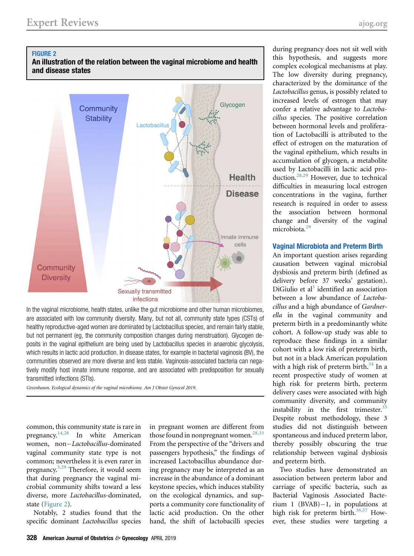<span id="page-4-0"></span>

In the vaginal microbiome, health states, unlike the gut microbiome and other human microbiomes, are associated with low community diversity. Many, but not all, community state types (CSTs) of healthy reproductive-aged women are dominated by Lactobacillus species, and remain fairly stable, but not permanent (eg, the community composition changes during menstruation). Glycogen deposits in the vaginal epithelium are being used by Lactobacillus species in anaerobic glycolysis, which results in lactic acid production. In disease states, for example in bacterial vaginosis (BV), the communities observed are more diverse and less stable. Vaginosis-associated bacteria can negatively modify host innate immune response, and are associated with predisposition for sexually transmitted infections (STIs).

Greenbaum. Ecological dynamics of the vaginal microbiome. Am J Obstet Gynecol 2019.

common, this community state is rare in pregnancy.<sup>[14,28](#page-9-0)</sup> In white American women, non-Lactobacillus-dominated vaginal community state type is not common; nevertheless it is even rarer in pregnancy.[3,29](#page-9-0) Therefore, it would seem that during pregnancy the vaginal microbial community shifts toward a less diverse, more Lactobacillus-dominated, state (Figure 2).

Notably, 2 studies found that the specific dominant Lactobacillus species

in pregnant women are different from those found in nonpregnant women.<sup>28,33</sup> From the perspective of the "drivers and passengers hypothesis," the findings of increased Lactobacillus abundance during pregnancy may be interpreted as an increase in the abundance of a dominant keystone species, which induces stability on the ecological dynamics, and supports a community core functionality of lactic acid production. On the other hand, the shift of lactobacilli species

during pregnancy does not sit well with this hypothesis, and suggests more complex ecological mechanisms at play. The low diversity during pregnancy, characterized by the dominance of the Lactobacillus genus, is possibly related to increased levels of estrogen that may confer a relative advantage to Lactobacillus species. The positive correlation between hormonal levels and proliferation of Lactobacilli is attributed to the effect of estrogen on the maturation of the vaginal epithelium, which results in accumulation of glycogen, a metabolite used by Lactobacilli in lactic acid pro-duction.<sup>[28,29](#page-9-0)</sup> However, due to technical difficulties in measuring local estrogen concentrations in the vagina, further research is required in order to assess the association between hormonal change and diversity of the vaginal microbiota.<sup>[29](#page-9-0)</sup>

#### Vaginal Microbiota and Preterm Birth

An important question arises regarding causation between vaginal microbial dysbiosis and preterm birth (defined as delivery before 37 weeks' gestation). DiGiulio et al<sup>[3](#page-9-0)</sup> identified an association between a low abundance of Lactobacillus and a high abundance of Gardnerella in the vaginal community and preterm birth in a predominantly white cohort. A follow-up study was able to reproduce these findings in a similar cohort with a low risk of preterm birth, but not in a black American population with a high risk of preterm birth. $34$  In a recent prospective study of women at high risk for preterm birth, preterm delivery cases were associated with high community diversity, and community instability in the first trimester. $35$ Despite robust methodology, these 3 studies did not distinguish between spontaneous and induced preterm labor, thereby possibly obscuring the true relationship between vaginal dysbiosis and preterm birth.

Two studies have demonstrated an association between preterm labor and carriage of specific bacteria, such as Bacterial Vaginosis Associated Bacterium 1 (BVAB) $-1$ , in populations at high risk for preterm birth.<sup>[36,37](#page-9-0)</sup> However, these studies were targeting a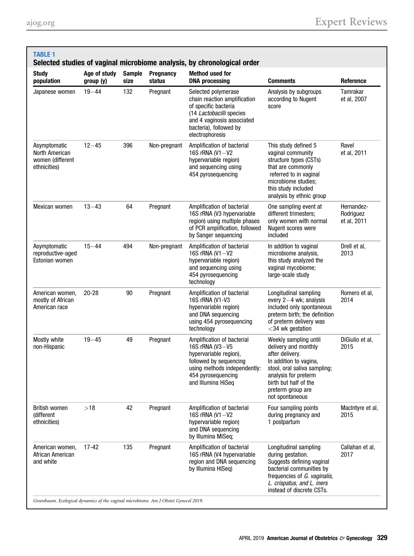<span id="page-5-0"></span>

| Selected studies of vaginal microbiome analysis, by chronological order<br><b>Method used for</b><br><b>Study</b><br>Age of study<br><b>Sample</b> |           |      |                     |                                                                                                                                                                                    |                                                                                                                                                                                                                     |                                        |
|----------------------------------------------------------------------------------------------------------------------------------------------------|-----------|------|---------------------|------------------------------------------------------------------------------------------------------------------------------------------------------------------------------------|---------------------------------------------------------------------------------------------------------------------------------------------------------------------------------------------------------------------|----------------------------------------|
| population                                                                                                                                         | group (y) | size | Pregnancy<br>status | <b>DNA processing</b>                                                                                                                                                              | <b>Comments</b>                                                                                                                                                                                                     | Reference                              |
| Japanese women                                                                                                                                     | $19 - 44$ | 132  | Pregnant            | Selected polymerase<br>chain reaction amplification<br>of specific bacteria<br>(14 Lactobacilli species<br>and 4 vaginosis associated<br>bacteria), followed by<br>electrophoresis | Analysis by subgroups<br>according to Nugent<br>score                                                                                                                                                               | Tamrakar<br>et al, 2007                |
| Asymptomatic<br>North American<br>women (different<br>ethnicities)                                                                                 | $12 - 45$ | 396  | Non-pregnant        | Amplification of bacterial<br>16S rRNA (V1-V2<br>hypervariable region)<br>and sequencing using<br>454 pyrosequencing                                                               | This study defined 5<br>vaginal community<br>structure types (CSTs)<br>that are commonly<br>referred to in vaginal<br>microbiome studies;<br>this study included<br>analysis by ethnic group                        | Ravel<br>et al, 2011                   |
| Mexican women                                                                                                                                      | $13 - 43$ | 64   | Pregnant            | Amplification of bacterial<br>16S rRNA (V3 hypervariable<br>region) using multiple phases<br>of PCR amplification, followed<br>by Sanger sequencing                                | One sampling event at<br>different trimesters;<br>only women with normal<br>Nugent scores were<br>included                                                                                                          | Hernandez-<br>Rodriguez<br>et al, 2011 |
| Asymptomatic<br>reproductive-aged<br>Estonian women                                                                                                | $15 - 44$ | 494  | Non-pregnant        | Amplification of bacterial<br>16S rRNA (V1-V2<br>hypervariable region)<br>and sequencing using<br>454 pyrosequencing<br>technology                                                 | In addition to vaginal<br>microbiome analysis,<br>this study analyzed the<br>vaginal mycobiome;<br>large-scale study                                                                                                | Drell et al,<br>2013                   |
| American women,<br>mostly of African<br>American race                                                                                              | $20 - 28$ | 90   | Pregnant            | Amplification of bacterial<br>16S rRNA (V1-V3<br>hypervariable region)<br>and DNA sequencing<br>using 454 pyrosequencing<br>technology                                             | Longitudinal sampling<br>every 2-4 wk; analysis<br>included only spontaneous<br>preterm birth; the definition<br>of preterm delivery was<br>$<$ 34 wk gestation                                                     | Romero et al,<br>2014                  |
| Mostly white<br>non-Hispanic                                                                                                                       | $19 - 45$ | 49   | Pregnant            | Amplification of bacterial<br>16S rRNA (V3-V5<br>hypervariable region),<br>followed by sequencing<br>using methods independently:<br>454 pyrosequencing<br>and Illumina HiSeq      | Weekly sampling until<br>delivery and monthly<br>after delivery.<br>In addition to vagina,<br>stool, oral saliva sampling;<br>analysis for preterm<br>birth but half of the<br>preterm group are<br>not spontaneous | DiGiulio et al,<br>2015                |
| <b>British women</b><br>(different<br>ethnicities)                                                                                                 | >18       | 42   | Pregnant            | Amplification of bacterial<br>16S rRNA (V1-V2<br>hypervariable region)<br>and DNA sequencing<br>by Illumina MiSeq;                                                                 | Four sampling points<br>during pregnancy and<br>1 postpartum                                                                                                                                                        | MacIntyre et al,<br>2015               |
| American women,<br>African American<br>and white                                                                                                   | 17-42     | 135  | Pregnant            | Amplification of bacterial<br>16S rRNA (V4 hypervariable<br>region and DNA sequencing<br>by Illumina HiSeq)                                                                        | Longitudinal sampling<br>during gestation.<br>Suggests defining vaginal<br>bacterial communities by<br>frequencies of G. vaginalis,<br>L. crispatus, and L. iners<br>instead of discrete CSTs.                      | Callahan et al,<br>2017                |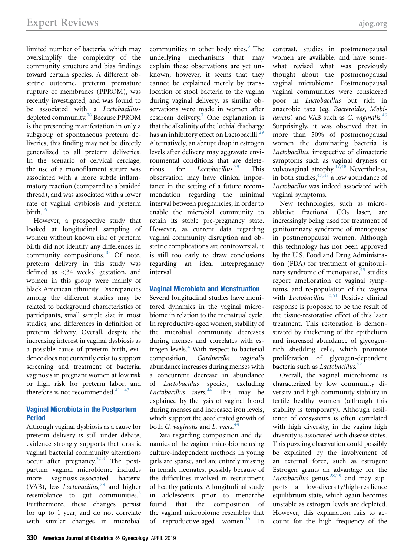limited number of bacteria, which may oversimplify the complexity of the community structure and bias findings toward certain species. A different obstetric outcome, preterm premature rupture of membranes (PPROM), was recently investigated, and was found to be associated with a Lactobacillus-depleted community.<sup>[38](#page-9-0)</sup> Because PPROM is the presenting manifestation in only a subgroup of spontaneous preterm deliveries, this finding may not be directly generalized to all preterm deliveries. In the scenario of cervical cerclage, the use of a monofilament suture was associated with a more subtle inflammatory reaction (compared to a braided thread), and was associated with a lower rate of vaginal dysbiosis and preterm  $birth<sup>39</sup>$  $birth<sup>39</sup>$  $birth<sup>39</sup>$ 

However, a prospective study that looked at longitudinal sampling of women without known risk of preterm birth did not identify any differences in community compositions.<sup>[40](#page-9-0)</sup> Of note, preterm delivery in this study was defined as <34 weeks' gestation, and women in this group were mainly of black American ethnicity. Discrepancies among the different studies may be related to background characteristics of participants, small sample size in most studies, and differences in definition of preterm delivery. Overall, despite the increasing interest in vaginal dysbiosis as a possible cause of preterm birth, evidence does not currently exist to support screening and treatment of bacterial vaginosis in pregnant women at low risk or high risk for preterm labor, and therefore is not recommended. $41-43$  $41-43$ 

## Vaginal Microbiota in the Postpartum Period

Although vaginal dysbiosis as a cause for preterm delivery is still under debate, evidence strongly supports that drastic vaginal bacterial community alterations occur after pregnancy. $3,29$  The postpartum vaginal microbiome includes more vaginosis-associated bacteria (VAB), less *Lactobacillus*,<sup>[29](#page-9-0)</sup> and higher resemblance to gut communities. $3$ Furthermore, these changes persist for up to 1 year, and do not correlate with similar changes in microbial

communities in other body sites. $3$  The underlying mechanisms that may explain these observations are yet unknown; however, it seems that they cannot be explained merely by translocation of stool bacteria to the vagina during vaginal delivery, as similar observations were made in women after cesarean delivery. $3$  One explanation is that the alkalinity of the lochial discharge has an inhibitory effect on Lactobacilli.<sup>[29](#page-9-0)</sup> Alternatively, an abrupt drop in estrogen levels after delivery may aggravate environmental conditions that are deleterious for *Lactobacillus*.<sup>[29](#page-9-0)</sup> This observation may have clinical importance in the setting of a future recommendation regarding the minimal interval between pregnancies, in order to enable the microbial community to retain its stable pre-pregnancy state. However, as current data regarding vaginal community disruption and obstetric complications are controversial, it is still too early to draw conclusions regarding an ideal interpregnancy interval.

## Vaginal Microbiota and Menstruation

Several longitudinal studies have monitored dynamics in the vaginal microbiome in relation to the menstrual cycle. In reproductive-aged women, stability of the microbial community decreases during menses and correlates with es-trogen levels.<sup>[4](#page-9-0)</sup> With respect to bacterial composition, Gardnerella vaginalis abundance increases during menses with a concurrent decrease in abundance of Lactobacillus species, excluding Lactobacillus iners. $44$  This may be explained by the lysis of vaginal blood during menses and increased iron levels, which support the accelerated growth of both G. vaginalis and L. iners. $4$ 

Data regarding composition and dynamics of the vaginal microbiome using culture-independent methods in young girls are sparse, and are entirely missing in female neonates, possibly because of the difficulties involved in recruitment of healthy patients. A longitudinal study in adolescents prior to menarche found that the composition of the vaginal microbiome resembles that of reproductive-aged women.<sup>45</sup> In

contrast, studies in postmenopausal women are available, and have somewhat revised what was previously thought about the postmenopausal vaginal microbiome. Postmenopausal vaginal communities were considered poor in Lactobacillus but rich in anaerobic taxa (eg, Bacteroides, Mobiluncus) and VAB such as  $G$ . *vaginalis*.<sup>[46](#page-9-0)</sup> Surprisingly, it was observed that in more than 50% of postmenopausal women the dominating bacteria is Lactobacillus, irrespective of climacteric symptoms such as vaginal dryness or vulvovaginal atrophy.<sup>47,48</sup> Nevertheless, in both studies,  $47,48$  a low abundance of Lactobacilus was indeed associated with vaginal symptoms.

New technologies, such as microablative fractional  $CO<sub>2</sub>$  laser, are increasingly being used for treatment of genitourinary syndrome of menopause in postmenopausal women. Although this technology has not been approved by the U.S. Food and Drug Administration (FDA) for treatment of genitourinary syndrome of menopause,  $49$  studies report amelioration of vaginal symptoms, and re-population of the vagina with Lactobacillus.<sup>[50,51](#page-9-0)</sup> Positive clinical response is proposed to be the result of the tissue-restorative effect of this laser treatment. This restoration is demonstrated by thickening of the epithelium and increased abundance of glycogenrich shedding cells, which promote proliferation of glycogen-dependent bacteria such as Lactobacillus.<sup>[52](#page-10-0)</sup>

Overall, the vaginal microbiome is characterized by low community diversity and high community stability in fertile healthy women (although this stability is temporary). Although resilience of ecosystems is often correlated with high diversity, in the vagina high diversity is associated with disease states. This puzzling observation could possibly be explained by the involvement of an external force, such as estrogen: Estrogen grants an advantage for the Lactobacillus genus,  $28,29$  and may supports a low-diversity/high-resilience equilibrium state, which again becomes unstable as estrogen levels are depleted. However, this explanation fails to account for the high frequency of the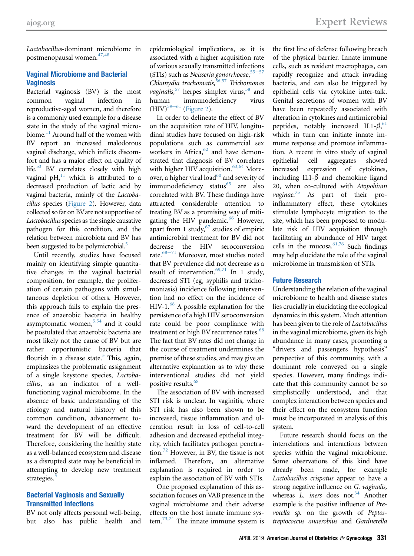Lactobacillus-dominant microbiome in postmenopausal women.[47,48](#page-9-0)

## Vaginal Microbiome and Bacterial **Vaginosis**

Bacterial vaginosis (BV) is the most common vaginal infection in reproductive-aged women, and therefore is a commonly used example for a disease state in the study of the vaginal microbiome.<sup>11</sup> Around half of the women with BV report an increased malodorous vaginal discharge, which inflicts discomfort and has a major effect on quality of life.<sup>[53](#page-10-0)</sup> BV correlates closely with high vaginal  $pH<sub>11</sub>$  which is attributed to a decreased production of lactic acid by vaginal bacteria, mainly of the Lactobacillus species ([Figure 2](#page-4-0)). However, data collected sofar on BVare not supportive of Lactobacillus species as the single causative pathogen for this condition, and the relation between microbiota and BV has been suggested to be polymicrobial.<sup>5</sup>

Until recently, studies have focused mainly on identifying simple quantitative changes in the vaginal bacterial composition, for example, the proliferation of certain pathogens with simultaneous depletion of others. However, this approach fails to explain the presence of anaerobic bacteria in healthy asymptomatic women, $5,54$  and it could be postulated that anaerobic bacteria are most likely not the cause of BV but are rather opportunistic bacteria that flourish in a disease state.<sup>[5](#page-9-0)</sup> This, again, emphasizes the problematic assignment of a single keystone species, Lactobacillus, as an indicator of a wellfunctioning vaginal microbiome. In the absence of basic understanding of the etiology and natural history of this common condition, advancement toward the development of an effective treatment for BV will be difficult. Therefore, considering the healthy state as a well-balanced ecosystem and disease as a disrupted state may be beneficial in attempting to develop new treatment strategies.<sup>[5](#page-9-0)</sup>

## Bacterial Vaginosis and Sexually Transmitted Infections

BV not only affects personal well-being, but also has public health and epidemiological implications, as it is associated with a higher acquisition rate of various sexually transmitted infe[ctions](#page-10-0) (STIs) such as Neisseria gonorrhoeae, $55-57$ Chlamydia trachomatis,  $56,57$  Trichomonas vaginalis, $57$  herpes simplex virus, $58$  and human immunodeficiency virus  $(HIV)^{59-61}$  $(HIV)^{59-61}$  $(HIV)^{59-61}$  [\(Figure 2](#page-4-0)).

In order to delineate the effect of BV on the acquisition rate of HIV, longitudinal studies have focused on high-risk populations such as commercial sex workers in Africa, $62$  and have demonstrated that diagnosis of BV correlates with higher HIV acquisition.<sup>[63,64](#page-10-0)</sup> Moreover, a higher viral load $60$  and severity of immunodeficiency status<sup>[65](#page-10-0)</sup> are also correlated with BV. These findings have attracted considerable attention to treating BV as a promising way of mitigating the HIV pandemic.<sup>66</sup> However, apart from 1 study,  $67$  studies of empiric antimicrobial treatment for BV did not decr[ease](#page-10-0) the HIV seroconversion rate. $^{68-71}$  Moreover, most studies noted that BV prevalence did not decrease as a result of intervention.<sup>[69,71](#page-10-0)</sup> In 1 study, decreased STI (eg, syphilis and trichomoniasis) incidence following intervention had no effect on the incidence of HIV-1.<sup>68</sup> A possible explanation for the persistence of a high HIV seroconversion rate could be poor compliance with treatment or high BV recurrence rates.<sup>[68](#page-10-0)</sup> The fact that BV rates did not change in the course of treatment undermines the premise of these studies, and may give an alternative explanation as to why these interventional studies did not yield positive results.[68](#page-10-0)

The association of BV with increased STI risk is unclear. In vaginitis, where STI risk has also been shown to be increased, tissue inflammation and ulceration result in loss of cell-to-cell adhesion and decreased epithelial integrity, which facilitates pathogen penetration.[72](#page-10-0) However, in BV, the tissue is not inflamed. Therefore, an alternative explanation is required in order to explain the association of BV with STIs.

One proposed explanation of this association focuses on VAB presence in the vaginal microbiome and their adverse effects on the host innate immune system.[73,74](#page-10-0) The innate immune system is

the first line of defense following breach of the physical barrier. Innate immune cells, such as resident macrophages, can rapidly recognize and attack invading bacteria, and can also be triggered by epithelial cells via cytokine inter-talk. Genital secretions of women with BV have been repeatedly associated with alteration in cytokines and antimicrobial peptides, notably increased IL1- $\beta$ , <sup>[61](#page-10-0)</sup>, which in turn can initiate innate immune response and promote inflammation. A recent in vitro study of vaginal epithelial cell aggregates showed increased expression of cytokines, including IL1- $\beta$  and chemokine ligand 20, when co-cultured with Atopobium vaginae.<sup>[75](#page-10-0)</sup> As part of their proinflammatory effect, these cytokines stimulate lymphocyte migration to the site, which has been proposed to modulate risk of HIV acquisition through facilitating an abundance of HIV target cells in the mucosa. $61,76$  Such findings may help elucidate the role of the vaginal microbiome in transmission of STIs.

## Future Research

Understanding the relation of the vaginal microbiome to health and disease states lies crucially in elucidating the ecological dynamics in this system. Much attention has been given to the role of Lactobacillus in the vaginal microbiome, given its high abundance in many cases, promoting a "drivers and passengers hypothesis" perspective of this community, with a dominant role conveyed on a single species. However, many findings indicate that this community cannot be so simplistically understood, and that complex interaction between species and their effect on the ecosystem function must be incorporated in analysis of this system.

Future research should focus on the interrelations and interactions between species within the vaginal microbiome. Some observations of this kind have already been made, for example Lactobacillus crispatus appear to have a strong negative influence on G. vaginalis, whereas  $L$ . iners does not.<sup>[34](#page-9-0)</sup> Another example is the positive influence of Prevotella sp. on the growth of Peptostreptococcus anaerobius and Gardnerella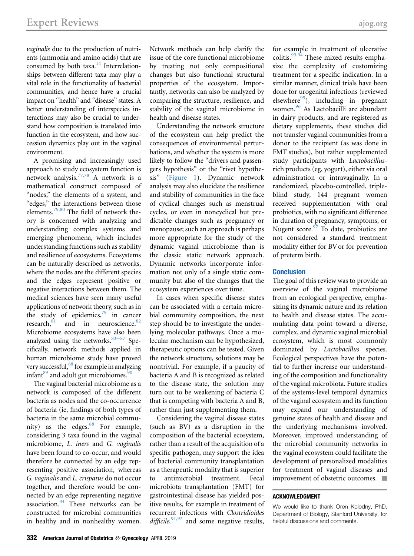vaginalis due to the production of nutrients (ammonia and amino acids) that are consumed by both  $taxa.<sup>14</sup>$  Interrelationships between different taxa may play a vital role in the functionality of bacterial communities, and hence have a crucial impact on "health" and "disease" states. A better understanding of interspecies interactions may also be crucial to understand how composition is translated into function in the ecosystem, and how succession dynamics play out in the vaginal environment.

A promising and increasingly used approach to study ecosystem function is network analysis.[77,78](#page-10-0) A network is a mathematical construct composed of "nodes," the elements of a system, and "edges," the interactions between those elements.[79,80](#page-10-0) The field of network theory is concerned with analyzing and understanding complex systems and emerging phenomena, which includes understanding functions such as stability and resilience of ecosystems. Ecosystems can be naturally described as networks, where the nodes are the different species and the edges represent positive or negative interactions between them. The medical sciences have seen many useful applications of network theory, such as in the study of epidemics,  $79$  in cancer research,  $81$  and in neuroscience.  $82$ and in neuroscience. $82$ Microbiome ecosystems have also been analyzed using the networks. $83-87$  $83-87$  Specifically, network methods applied in human microbiome study have proved very successful, <sup>88</sup> for example in analyzing infant $89$  and adult gut microbiomes. $\frac{90}{90}$ 

The vaginal bacterial microbiome as a network is composed of the different bacteria as nodes and the co-occurrence of bacteria (ie, findings of both types of bacteria in the same microbial community) as the edges. For example, considering 3 taxa found in the vaginal microbiome, L. iners and G. vaginalis have been found to co-occur, and would therefore be connected by an edge representing positive association, whereas G. vaginalis and L. crispatus do not occur together, and therefore would be connected by an edge representing negative association. $34$  These networks can be constructed for microbial communities in healthy and in nonhealthy women.

Network methods can help clarify the issue of the core functional microbiome by treating not only compositional changes but also functional structural properties of the ecosystem. Importantly, networks can also be analyzed by comparing the structure, resilience, and stability of the vaginal microbiome in health and disease states.

Understanding the network structure of the ecosystem can help predict the consequences of environmental perturbations, and whether the system is more likely to follow the "drivers and passengers hypothesis" or the "rivet hypothesis" ([Figure 1](#page-2-0)). Dynamic network analysis may also elucidate the resilience and stability of communities in the face of cyclical changes such as menstrual cycles, or even in noncyclical but predictable changes such as pregnancy or menopause; such an approach is perhaps more appropriate for the study of the dynamic vaginal microbiome than is the classic static network approach. Dynamic networks incorporate information not only of a single static community but also of the changes that the ecosystem experiences over time.

In cases when specific disease states can be associated with a certain microbial community composition, the next step should be to investigate the underlying molecular pathways. Once a molecular mechanism can be hypothesized, therapeutic options can be tested. Given the network structure, solutions may be nontrivial. For example, if a paucity of bacteria A and B is recognized as related to the disease state, the solution may turn out to be weakening of bacteria C that is competing with bacteria A and B, rather than just supplementing them.

Considering the vaginal disease states (such as BV) as a disruption in the composition of the bacterial ecosystem, rather than a result of the acquisition of a specific pathogen, may support the idea of bacterial community transplantation as a therapeutic modality that is superior to antimicrobial treatment. Fecal microbiota transplantation (FMT) for gastrointestinal disease has yielded positive results, for example in treatment of recurrent infections with Clostridioides difficile,  $91,92$  and some negative results,

for example in treatment of ulcerative colitis.<sup>93,94</sup> These mixed results emphasize the complexity of customizing treatment for a specific indication. In a similar manner, clinical trials have been done for urogenital infections (reviewed elsewhere $95$ ), including in pregnant women[.96](#page-10-0) As Lactobacilli are abundant in dairy products, and are registered as dietary supplements, these studies did not transfer vaginal communities from a donor to the recipient (as was done in FMT studies), but rather supplemented study participants with Lactobacillusrich products (eg, yogurt), either via oral administration or intravaginally. In a randomized, placebo-controlled, tripleblind study, 144 pregnant women received supplementation with oral probiotics, with no significant difference in duration of pregnancy, symptoms, or Nugent score.<sup>[97](#page-10-0)</sup> To date, probiotics are not considered a standard treatment modality either for BV or for prevention of preterm birth.

## **Conclusion**

The goal of this review was to provide an overview of the vaginal microbiome from an ecological perspective, emphasizing its dynamic nature and its relation to health and disease states. The accumulating data point toward a diverse, complex, and dynamic vaginal microbial ecosystem, which is most commonly dominated by Lactobacillus species. Ecological perspectives have the potential to further increase our understanding of the composition and functionality of the vaginal microbiota. Future studies of the systems-level temporal dynamics of the vaginal ecosystem and its function may expand our understanding of genuine states of health and disease and the underlying mechanisms involved. Moreover, improved understanding of the microbial community networks in the vaginal ecosystem could facilitate the development of personalized modalities for treatment of vaginal diseases and improvement of obstetric outcomes.  $\blacksquare$ 

#### ACKNOWLEDGMENT

We would like to thank Oren Kolodny, PhD, Department of Biology, Stanford University, for helpful discussions and comments.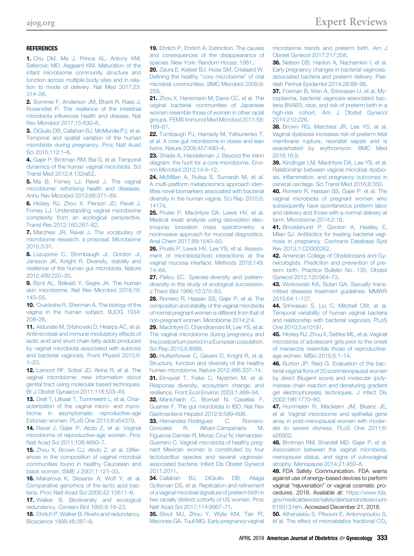#### <span id="page-9-0"></span>REFERENCES

1. [Chu DM, Ma J, Prince AL, Antony KM,](http://refhub.elsevier.com/S0002-9378(18)32114-8/sref1) [Seferovic MD, Aagaard KM. Maturation of the](http://refhub.elsevier.com/S0002-9378(18)32114-8/sref1) [infant microbiome community structure and](http://refhub.elsevier.com/S0002-9378(18)32114-8/sref1) [function across multiple body sites and in rela](http://refhub.elsevier.com/S0002-9378(18)32114-8/sref1)[tion to mode of delivery. Nat Med 2017;23:](http://refhub.elsevier.com/S0002-9378(18)32114-8/sref1) [314](http://refhub.elsevier.com/S0002-9378(18)32114-8/sref1)–26.

2. [Sommer F, Anderson JM, Bharti R, Raes J,](http://refhub.elsevier.com/S0002-9378(18)32114-8/sref2) [Rosenstiel P. The resilience of the intestinal](http://refhub.elsevier.com/S0002-9378(18)32114-8/sref2) microbiota infl[uences health and disease. Nat](http://refhub.elsevier.com/S0002-9378(18)32114-8/sref2) [Rev Microbiol 2017;15:630](http://refhub.elsevier.com/S0002-9378(18)32114-8/sref2)–8.

3. [DiGiulio DB, Callahan BJ, McMurdie PJ, et al.](http://refhub.elsevier.com/S0002-9378(18)32114-8/sref3) [Temporal and spatial variation of the human](http://refhub.elsevier.com/S0002-9378(18)32114-8/sref3) [microbiota during pregnancy. Proc Natl Acad](http://refhub.elsevier.com/S0002-9378(18)32114-8/sref3) [Sci 2015;112:1](http://refhub.elsevier.com/S0002-9378(18)32114-8/sref3)–6.

4. [Gajer P, Brotman RM, Bai G, et al. Temporal](http://refhub.elsevier.com/S0002-9378(18)32114-8/sref4) [dynamics of the human vaginal microbiota. Sci](http://refhub.elsevier.com/S0002-9378(18)32114-8/sref4) [Transl Med 2012;4:132ra52](http://refhub.elsevier.com/S0002-9378(18)32114-8/sref4).

5. [Ma B, Forney LJ, Ravel J. The vaginal](http://refhub.elsevier.com/S0002-9378(18)32114-8/sref5) [microbiome: rethinking health and diseases.](http://refhub.elsevier.com/S0002-9378(18)32114-8/sref5) [Annu Rev Microbiol 2013;66:371](http://refhub.elsevier.com/S0002-9378(18)32114-8/sref5)–89.

6. [Hickey RJ, Zhou X, Pierson JD, Ravel J,](http://refhub.elsevier.com/S0002-9378(18)32114-8/sref6) [Forney LJ. Understanding vaginal microbiome](http://refhub.elsevier.com/S0002-9378(18)32114-8/sref6) [complexity from an ecological perspective.](http://refhub.elsevier.com/S0002-9378(18)32114-8/sref6) [Transl Res 2012;160:267](http://refhub.elsevier.com/S0002-9378(18)32114-8/sref6)–82.

7. [Marchesi JR, Ravel J. The vocabulary of](http://refhub.elsevier.com/S0002-9378(18)32114-8/sref7) [microbiome research: a proposal. Microbiome](http://refhub.elsevier.com/S0002-9378(18)32114-8/sref7) [2015;3:31.](http://refhub.elsevier.com/S0002-9378(18)32114-8/sref7)

8. [Lozupone C, Stombaugh JI, Gordon JI,](http://refhub.elsevier.com/S0002-9378(18)32114-8/sref8) [Jansson JK, Knight R. Diversity, stability and](http://refhub.elsevier.com/S0002-9378(18)32114-8/sref8) [resilience of the human gut microbiota. Nature](http://refhub.elsevier.com/S0002-9378(18)32114-8/sref8) [2012;489:220](http://refhub.elsevier.com/S0002-9378(18)32114-8/sref8)–30.

9. [Byrd AL, Belkaid Y, Segre JA. The human](http://refhub.elsevier.com/S0002-9378(18)32114-8/sref9) [skin microbiome. Nat Rev Microbiol 2018;16:](http://refhub.elsevier.com/S0002-9378(18)32114-8/sref9) [143](http://refhub.elsevier.com/S0002-9378(18)32114-8/sref9)–55.

10. [Cruicksha R, Sherman A. The biology of the](http://refhub.elsevier.com/S0002-9378(18)32114-8/sref10) [vagina in the human subject. BJOG 1934:](http://refhub.elsevier.com/S0002-9378(18)32114-8/sref10) [208](http://refhub.elsevier.com/S0002-9378(18)32114-8/sref10)–26.

11. [Aldunate M, Srbinovski D, Hearps AC, et al.](http://refhub.elsevier.com/S0002-9378(18)32114-8/sref11) [Antimicrobial and immune modulatory effects of](http://refhub.elsevier.com/S0002-9378(18)32114-8/sref11) [lactic acid and short chain fatty acids produced](http://refhub.elsevier.com/S0002-9378(18)32114-8/sref11) [by vaginal microbiota associated with eubiosis](http://refhub.elsevier.com/S0002-9378(18)32114-8/sref11) [and bacterial vaginosis. Front Physiol 2015;6:](http://refhub.elsevier.com/S0002-9378(18)32114-8/sref11) 1–[23.](http://refhub.elsevier.com/S0002-9378(18)32114-8/sref11)

12. [Lamont RF, Sobel JD, Akins R, et al. The](http://refhub.elsevier.com/S0002-9378(18)32114-8/sref12) [vaginal microbiome: new information about](http://refhub.elsevier.com/S0002-9378(18)32114-8/sref12) [genital tract using molecular based techniques.](http://refhub.elsevier.com/S0002-9378(18)32114-8/sref12) [Br J Obstet Gynaecol 2011;118:533](http://refhub.elsevier.com/S0002-9378(18)32114-8/sref12)–49.

13. [Drell T, Lillsaar T, Tummeleht L, et al. Char](http://refhub.elsevier.com/S0002-9378(18)32114-8/sref13)[acterization of the vaginal micro- and myco](http://refhub.elsevier.com/S0002-9378(18)32114-8/sref13)[biome in asymptomatic reproductive-age](http://refhub.elsevier.com/S0002-9378(18)32114-8/sref13) [Estonian women. PLoS One 2013;8:e54379.](http://refhub.elsevier.com/S0002-9378(18)32114-8/sref13)

14. [Ravel J, Gajer P, Abdo Z, et al. Vaginal](http://refhub.elsevier.com/S0002-9378(18)32114-8/sref14) [microbiome of reproductive-age women. Proc](http://refhub.elsevier.com/S0002-9378(18)32114-8/sref14) [Natl Acad Sci 2011;108:4680](http://refhub.elsevier.com/S0002-9378(18)32114-8/sref14)–7.

15. [Zhou X, Brown CJ, Abdo Z, et al. Differ](http://refhub.elsevier.com/S0002-9378(18)32114-8/sref15)[ences in the composition of vaginal microbial](http://refhub.elsevier.com/S0002-9378(18)32114-8/sref15) [communities found in healthy Caucasian and](http://refhub.elsevier.com/S0002-9378(18)32114-8/sref15) [black women. ISME J 2007;1:121](http://refhub.elsevier.com/S0002-9378(18)32114-8/sref15)–33.

16. [Makarova K, Slesarev A, Wolf Y, et al.](http://refhub.elsevier.com/S0002-9378(18)32114-8/sref16) [Comparative genomics of the lactic acid bac](http://refhub.elsevier.com/S0002-9378(18)32114-8/sref16)[teria. Proc Natl Acad Sci 2006;42:15611](http://refhub.elsevier.com/S0002-9378(18)32114-8/sref16)–6. 17. [Walker B. Biodiversity and ecological](http://refhub.elsevier.com/S0002-9378(18)32114-8/sref17)

[redundancy. Conserv Biol 1992;6:18](http://refhub.elsevier.com/S0002-9378(18)32114-8/sref17)–23. 18. [Ehrlich P, Walker B. Rivets and redundancy.](http://refhub.elsevier.com/S0002-9378(18)32114-8/sref18)

[Bioscience 1998;48:387](http://refhub.elsevier.com/S0002-9378(18)32114-8/sref18)–8.

19. [Ehrlich P, Ehrlich A. Extinction. The causes](http://refhub.elsevier.com/S0002-9378(18)32114-8/sref19) [and consequences of the disappearance of](http://refhub.elsevier.com/S0002-9378(18)32114-8/sref19) [species. New York: Random House; 1981.](http://refhub.elsevier.com/S0002-9378(18)32114-8/sref19)

20. [Zaura E, Keijser BJ, Huse SM, Crielaard W.](http://refhub.elsevier.com/S0002-9378(18)32114-8/sref20) Defining the healthy "[core microbiome](http://refhub.elsevier.com/S0002-9378(18)32114-8/sref20)" of oral [microbial communities. BMC Microbiol 2009;9:](http://refhub.elsevier.com/S0002-9378(18)32114-8/sref20) [259](http://refhub.elsevier.com/S0002-9378(18)32114-8/sref20).

21. [Zhou X, Hansmann M, Davis CC, et al. The](http://refhub.elsevier.com/S0002-9378(18)32114-8/sref21) [vaginal bacterial communities of Japanese](http://refhub.elsevier.com/S0002-9378(18)32114-8/sref21) [women resemble those of women in other racial](http://refhub.elsevier.com/S0002-9378(18)32114-8/sref21) [groups. FEMS Immunol Med Microbiol 2011;58:](http://refhub.elsevier.com/S0002-9378(18)32114-8/sref21) [169](http://refhub.elsevier.com/S0002-9378(18)32114-8/sref21)–81.

22. [Turnbaugh PJ, Hamady M, Yatsunenko T,](http://refhub.elsevier.com/S0002-9378(18)32114-8/sref22) [et al. A core gut microbiome in obese and lean](http://refhub.elsevier.com/S0002-9378(18)32114-8/sref22) [twins. Nature 2009;457:480](http://refhub.elsevier.com/S0002-9378(18)32114-8/sref22)–4.

23. [Shade A, Handelsman J. Beyond the Venn](http://refhub.elsevier.com/S0002-9378(18)32114-8/sref23) [diagram: the hunt for a core microbiome. Envi](http://refhub.elsevier.com/S0002-9378(18)32114-8/sref23)[ron Microbiol 2012;14:4](http://refhub.elsevier.com/S0002-9378(18)32114-8/sref23)–12.

24. [McMillan A, Rulisa S, Sumarah M, et al.](http://refhub.elsevier.com/S0002-9378(18)32114-8/sref24) [A multi-platform metabolomics approach iden](http://refhub.elsevier.com/S0002-9378(18)32114-8/sref24)tifi[es novel biomarkers associated with bacterial](http://refhub.elsevier.com/S0002-9378(18)32114-8/sref24) [diversity in the human vagina. Sci Rep 2015;5:](http://refhub.elsevier.com/S0002-9378(18)32114-8/sref24) [14174](http://refhub.elsevier.com/S0002-9378(18)32114-8/sref24).

25. [Pruski P, MacIntyre DA, Lewis HV, et al.](http://refhub.elsevier.com/S0002-9378(18)32114-8/sref25) [Medical swab analysis using desorption elec](http://refhub.elsevier.com/S0002-9378(18)32114-8/sref25)[trospray ionization mass spectrometry: a](http://refhub.elsevier.com/S0002-9378(18)32114-8/sref25) [noninvasive approach for mucosal diagnostics.](http://refhub.elsevier.com/S0002-9378(18)32114-8/sref25) [Anal Chem 2017;89:1540](http://refhub.elsevier.com/S0002-9378(18)32114-8/sref25)–50.

26. [Pruski P, Lewis HV, Lee YS, et al. Assess](http://refhub.elsevier.com/S0002-9378(18)32114-8/sref26)[ment of microbiota:host interactions at the](http://refhub.elsevier.com/S0002-9378(18)32114-8/sref26) [vaginal mucosa interface. Methods 2018;149:](http://refhub.elsevier.com/S0002-9378(18)32114-8/sref26) 74–[84.](http://refhub.elsevier.com/S0002-9378(18)32114-8/sref26)

27. [Pielou EC. Species-diversity and pattern](http://refhub.elsevier.com/S0002-9378(18)32114-8/sref27)[diversity in the study of ecological succession.](http://refhub.elsevier.com/S0002-9378(18)32114-8/sref27) [J Theor Biol 1966;10:370](http://refhub.elsevier.com/S0002-9378(18)32114-8/sref27)–83.

28. [Romero R, Hassan SS, Gajer P, et al. The](http://refhub.elsevier.com/S0002-9378(18)32114-8/sref28) [composition and stability of the vaginal microbiota](http://refhub.elsevier.com/S0002-9378(18)32114-8/sref28) [of normal pregnant women is different from that of](http://refhub.elsevier.com/S0002-9378(18)32114-8/sref28) [non-pregnant women. Microbiome 2014;2:4](http://refhub.elsevier.com/S0002-9378(18)32114-8/sref28).

29. [MacIntyre D, Chandiramani M, Lee YS, et al.](http://refhub.elsevier.com/S0002-9378(18)32114-8/sref29) [The vaginal microbiome during pregnancy and](http://refhub.elsevier.com/S0002-9378(18)32114-8/sref29) [the postpartum period in a European population.](http://refhub.elsevier.com/S0002-9378(18)32114-8/sref29) [Sci Rep 2015;5:8988.](http://refhub.elsevier.com/S0002-9378(18)32114-8/sref29)

30. [Huttenhower C, Gevers D, Knight R, et al.](http://refhub.elsevier.com/S0002-9378(18)32114-8/sref30) [Structure, function and diversity of the healthy](http://refhub.elsevier.com/S0002-9378(18)32114-8/sref30) [human microbiome. Nature 2012;486:207](http://refhub.elsevier.com/S0002-9378(18)32114-8/sref30)–14.

31. [Elmqvist T, Folke C, Nyström M, et al.](http://refhub.elsevier.com/S0002-9378(18)32114-8/sref31) [Response diversity, ecosystem change, and](http://refhub.elsevier.com/S0002-9378(18)32114-8/sref31) [resilience. Front Ecol Environ 2003;1:488](http://refhub.elsevier.com/S0002-9378(18)32114-8/sref31)–94.

32. [Manichanh C, Borruel N, Casellas F,](http://refhub.elsevier.com/S0002-9378(18)32114-8/sref32) [Guarner F. The gut microbiota in IBD. Nat Rev](http://refhub.elsevier.com/S0002-9378(18)32114-8/sref32) [Gastroenterol Hepatol 2012;9:599](http://refhub.elsevier.com/S0002-9378(18)32114-8/sref32)–608.

33. [Hernandez-Rodriguez C, Romero-](http://refhub.elsevier.com/S0002-9378(18)32114-8/sref33)[Gonzalez R, Albani-Campanario M,](http://refhub.elsevier.com/S0002-9378(18)32114-8/sref33) [Figueroa-Damian R, Meraz-Cruz N, Hernandez-](http://refhub.elsevier.com/S0002-9378(18)32114-8/sref33)[Guerrero C. Vaginal microbiota of healthy preg](http://refhub.elsevier.com/S0002-9378(18)32114-8/sref33)[nant Mexican women is constituted by four](http://refhub.elsevier.com/S0002-9378(18)32114-8/sref33) [lactobacillus species and several vaginosis](http://refhub.elsevier.com/S0002-9378(18)32114-8/sref33)[associated bacteria. Infect Dis Obstet Gynecol](http://refhub.elsevier.com/S0002-9378(18)32114-8/sref33) [2011;2011](http://refhub.elsevier.com/S0002-9378(18)32114-8/sref33).

34. [Callahan BJ, DiGiulio DB, Aliaga](http://refhub.elsevier.com/S0002-9378(18)32114-8/sref34) [Goltsman DS, et al. Replication and re](http://refhub.elsevier.com/S0002-9378(18)32114-8/sref34)finement [of a vaginal microbial signature of preterm birth in](http://refhub.elsevier.com/S0002-9378(18)32114-8/sref34) [two racially distinct cohorts of US women. Proc](http://refhub.elsevier.com/S0002-9378(18)32114-8/sref34) [Natl Acad Sci 2017;114:9967](http://refhub.elsevier.com/S0002-9378(18)32114-8/sref34)–71.

35. [Stout MJ, Zhou Y, Wylie KM, Tarr PI,](http://refhub.elsevier.com/S0002-9378(18)32114-8/sref35) [Macones GA, Tuuli MG. Early pregnancy vaginal](http://refhub.elsevier.com/S0002-9378(18)32114-8/sref35) [microbiome trends and preterm birth. Am J](http://refhub.elsevier.com/S0002-9378(18)32114-8/sref35) [Obstet Gynecol 2017;217:356.](http://refhub.elsevier.com/S0002-9378(18)32114-8/sref35)

36. [Nelson DB, Hanlon A, Nachamkin I, et al.](http://refhub.elsevier.com/S0002-9378(18)32114-8/sref36) [Early pregnancy changes in bacterial vaginosis](http://refhub.elsevier.com/S0002-9378(18)32114-8/sref36)[associated bacteria and preterm delivery. Pae](http://refhub.elsevier.com/S0002-9378(18)32114-8/sref36)[diatr Perinat Epidemiol 2014;28:88](http://refhub.elsevier.com/S0002-9378(18)32114-8/sref36)–96.

37. [Foxman B, Wen A, Srinivasan U, et al. My](http://refhub.elsevier.com/S0002-9378(18)32114-8/sref37)[coplasma, bacterial vaginosis-associated bac](http://refhub.elsevier.com/S0002-9378(18)32114-8/sref37)[teria BVAB3, race, and risk of preterm birth in a](http://refhub.elsevier.com/S0002-9378(18)32114-8/sref37) [high-risk cohort. Am J Obstet Gynecol](http://refhub.elsevier.com/S0002-9378(18)32114-8/sref37) [2014;210:226.](http://refhub.elsevier.com/S0002-9378(18)32114-8/sref37)

38. [Brown RG, Marchesi JR, Lee YS, et al.](http://refhub.elsevier.com/S0002-9378(18)32114-8/sref38) [Vaginal dysbiosis increases risk of preterm fetal](http://refhub.elsevier.com/S0002-9378(18)32114-8/sref38) [membrane rupture, neonatal sepsis and is](http://refhub.elsevier.com/S0002-9378(18)32114-8/sref38) [exacerbated by erythromycin. BMC Med](http://refhub.elsevier.com/S0002-9378(18)32114-8/sref38) [2018;16:9.](http://refhub.elsevier.com/S0002-9378(18)32114-8/sref38)

39. [Kindinger LM, MacIntyre DA, Lee YS, et al.](http://refhub.elsevier.com/S0002-9378(18)32114-8/sref39) [Relationship between vaginal microbial dysbio](http://refhub.elsevier.com/S0002-9378(18)32114-8/sref39)sis, infl[ammation, and pregnancy outcomes in](http://refhub.elsevier.com/S0002-9378(18)32114-8/sref39) [cervical cerclage. Sci Transl Med 2016;8:350.](http://refhub.elsevier.com/S0002-9378(18)32114-8/sref39)

40. [Romero R, Hassan SS, Gajer P, et al. The](http://refhub.elsevier.com/S0002-9378(18)32114-8/sref40) [vaginal microbiota of pregnant women who](http://refhub.elsevier.com/S0002-9378(18)32114-8/sref40) [subsequently have spontaneous preterm labor](http://refhub.elsevier.com/S0002-9378(18)32114-8/sref40) [and delivery and those with a normal delivery at](http://refhub.elsevier.com/S0002-9378(18)32114-8/sref40) [term. Microbiome 2014;2:18](http://refhub.elsevier.com/S0002-9378(18)32114-8/sref40).

41. [Brocklehurst P, Gordon A, Heatley E,](http://refhub.elsevier.com/S0002-9378(18)32114-8/sref41) [Milan SJ. Antibiotics for treating bacterial vagi](http://refhub.elsevier.com/S0002-9378(18)32114-8/sref41)[nosis in pregnancy. Cochrane Database Syst](http://refhub.elsevier.com/S0002-9378(18)32114-8/sref41) [Rev 2013;1:CD000262](http://refhub.elsevier.com/S0002-9378(18)32114-8/sref41).

42. [American College of Obstetricians and Gy](http://refhub.elsevier.com/S0002-9378(18)32114-8/sref42)[necologists. Prediction and prevention of pre](http://refhub.elsevier.com/S0002-9378(18)32114-8/sref42)[term birth. Practice Bulletin No. 130. Obstet](http://refhub.elsevier.com/S0002-9378(18)32114-8/sref42) [Gynecol 2012;120:964](http://refhub.elsevier.com/S0002-9378(18)32114-8/sref42)–73.

43. [Workowski KA, Bolan GA. Sexually trans](http://refhub.elsevier.com/S0002-9378(18)32114-8/sref43)[mitted diseases treatment guidelines. MMWR](http://refhub.elsevier.com/S0002-9378(18)32114-8/sref43) [2015;64:1](http://refhub.elsevier.com/S0002-9378(18)32114-8/sref43)–137.

44. [Srinivasan S, Liu C, Mitchell CM, et al.](http://refhub.elsevier.com/S0002-9378(18)32114-8/sref44) [Temporal variability of human vaginal bacteria](http://refhub.elsevier.com/S0002-9378(18)32114-8/sref44) [and relationship with bacterial vaginosis. PLoS](http://refhub.elsevier.com/S0002-9378(18)32114-8/sref44) [One 2010;5:e10197](http://refhub.elsevier.com/S0002-9378(18)32114-8/sref44).

45. [Hickey RJ, Zhou X, Settles ML, et al. Vaginal](http://refhub.elsevier.com/S0002-9378(18)32114-8/sref45) [microbiota of adolescent girls prior to the onset](http://refhub.elsevier.com/S0002-9378(18)32114-8/sref45) [of menarche resemble those of reproductive](http://refhub.elsevier.com/S0002-9378(18)32114-8/sref45)[age women. MBio 2015;6:1](http://refhub.elsevier.com/S0002-9378(18)32114-8/sref45)–14.

46. [Burton JP, Reid G. Evaluation of the bac](http://refhub.elsevier.com/S0002-9378(18)32114-8/sref46)terial vaginal fl[ora of 20 postmenopausal women](http://refhub.elsevier.com/S0002-9378(18)32114-8/sref46) [by direct \(Nugent score\) and molecular \(poly](http://refhub.elsevier.com/S0002-9378(18)32114-8/sref46)[merase chain reaction and denaturing gradient](http://refhub.elsevier.com/S0002-9378(18)32114-8/sref46) [gel electrophoresis\) techniques. J Infect Dis](http://refhub.elsevier.com/S0002-9378(18)32114-8/sref46) [2002;186:1770](http://refhub.elsevier.com/S0002-9378(18)32114-8/sref46)–80.

47. [Hummelen R, Macklaim JM, Bisanz JE,](http://refhub.elsevier.com/S0002-9378(18)32114-8/sref47) [et al. Vaginal microbiome and epithelial gene](http://refhub.elsevier.com/S0002-9378(18)32114-8/sref47) [array in post-menopausal women with moder](http://refhub.elsevier.com/S0002-9378(18)32114-8/sref47)[ate to severe dryness. PLoS One 2011;6:](http://refhub.elsevier.com/S0002-9378(18)32114-8/sref47) [e26602.](http://refhub.elsevier.com/S0002-9378(18)32114-8/sref47)

48. [Brotman RM, Shardell MD, Gajer P, et al.](http://refhub.elsevier.com/S0002-9378(18)32114-8/sref48) [Association between the vaginal microbiota,](http://refhub.elsevier.com/S0002-9378(18)32114-8/sref48) [menopause status, and signs of vulvovaginal](http://refhub.elsevier.com/S0002-9378(18)32114-8/sref48) [atrophy. Menopause 2014;21:450](http://refhub.elsevier.com/S0002-9378(18)32114-8/sref48)–8.

49. FDA Safety Communication. FDA warns against use of energy-based devices to perform vaginal "rejuvenation" or vaginal cosmetic procedures. 2018. Available at: [https://www.fda.](https://www.fda.gov/medicaldevices/safety/alertsandnotices/ucm615013.htm) [gov/medicaldevices/safety/alertsandnotices/ucm](https://www.fda.gov/medicaldevices/safety/alertsandnotices/ucm615013.htm) [615013.htm.](https://www.fda.gov/medicaldevices/safety/alertsandnotices/ucm615013.htm) Accessed December 21, 2018.

50. [Athanasiou S, Pitsouni E, Antonopoulou S,](http://refhub.elsevier.com/S0002-9378(18)32114-8/sref50) et al. The effect of microablative fractional  $CO<sub>2</sub>$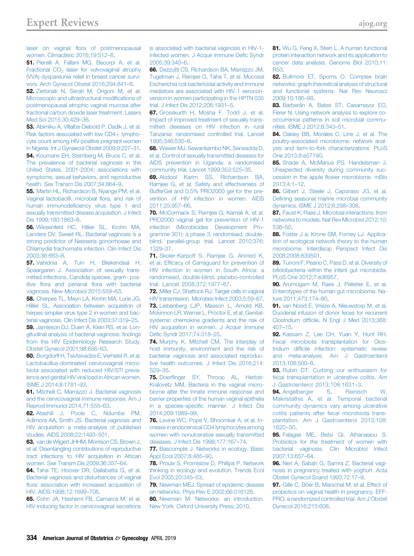<span id="page-10-0"></span>laser on vaginal fl[ora of postmenopausal](http://refhub.elsevier.com/S0002-9378(18)32114-8/sref50) [women. Climacteric 2016;19:512](http://refhub.elsevier.com/S0002-9378(18)32114-8/sref50)–8.

51. [Pieralli A, Fallani MG, Becorpi A, et al.](http://refhub.elsevier.com/S0002-9378(18)32114-8/sref51) Fractional  $CO<sub>2</sub>$  [laser for vulvovaginal atrophy](http://refhub.elsevier.com/S0002-9378(18)32114-8/sref51) [\(VVA\) dyspareunia relief in breast cancer survi](http://refhub.elsevier.com/S0002-9378(18)32114-8/sref51)[vors. Arch Gynecol Obstet 2016;294:841](http://refhub.elsevier.com/S0002-9378(18)32114-8/sref51)–6.

52. [Zerbinati N, Serati M, Origoni M, et al.](http://refhub.elsevier.com/S0002-9378(18)32114-8/sref52) [Microscopic and ultrastructural modi](http://refhub.elsevier.com/S0002-9378(18)32114-8/sref52)fications of [postmenopausal atrophic vaginal mucosa after](http://refhub.elsevier.com/S0002-9378(18)32114-8/sref52) [fractional carbon dioxide laser treatment. Lasers](http://refhub.elsevier.com/S0002-9378(18)32114-8/sref52) [Med Sci 2015;30:429](http://refhub.elsevier.com/S0002-9378(18)32114-8/sref52)–36.

53. [Abimiku A, Villalba-Diebold P, Dadik J, et al.](http://refhub.elsevier.com/S0002-9378(18)32114-8/sref53) Risk factors associated with low  $CD4+$  [lympho](http://refhub.elsevier.com/S0002-9378(18)32114-8/sref53)[cyte count among HIV-positive pregnant women](http://refhub.elsevier.com/S0002-9378(18)32114-8/sref53) [in Nigeria. Int J Gynaecol Obstet 2009;9:227](http://refhub.elsevier.com/S0002-9378(18)32114-8/sref53)–31.

54. [Koumans EH, Sternberg M, Bruce C, et al.](http://refhub.elsevier.com/S0002-9378(18)32114-8/sref54) [The prevalence of bacterial vaginosis in the](http://refhub.elsevier.com/S0002-9378(18)32114-8/sref54) [United States, 2001-2004; associations with](http://refhub.elsevier.com/S0002-9378(18)32114-8/sref54) [symptoms, sexual behaviors, and reproductive](http://refhub.elsevier.com/S0002-9378(18)32114-8/sref54) [health. Sex Transm Dis 2007;34:864](http://refhub.elsevier.com/S0002-9378(18)32114-8/sref54)–9.

55. [Martin HL, Richardson B, Nyange PM, et al.](http://refhub.elsevier.com/S0002-9378(18)32114-8/sref55) [Vaginal lactobacilli, microbial](http://refhub.elsevier.com/S0002-9378(18)32114-8/sref55) flora, and risk of human immunodefi[ciency virus type 1 and](http://refhub.elsevier.com/S0002-9378(18)32114-8/sref55) [sexually transmitted disease acquisition. J Infect](http://refhub.elsevier.com/S0002-9378(18)32114-8/sref55) [Dis 1999;180:1863](http://refhub.elsevier.com/S0002-9378(18)32114-8/sref55)–8.

56. [Wiesenfeld HC, Hillier SL, Krohn MA,](http://refhub.elsevier.com/S0002-9378(18)32114-8/sref56) [Landers DV, Sweet RL. Bacterial vaginosis is a](http://refhub.elsevier.com/S0002-9378(18)32114-8/sref56) [strong predictor of Neisseria gonorrhoeae and](http://refhub.elsevier.com/S0002-9378(18)32114-8/sref56) [Chlamydia trachomatis infection. Clin Infect Dis](http://refhub.elsevier.com/S0002-9378(18)32114-8/sref56) [2003;36:663](http://refhub.elsevier.com/S0002-9378(18)32114-8/sref56)–8.

57. [Vahidnia A, Tuin H, Bliekendaal H,](http://refhub.elsevier.com/S0002-9378(18)32114-8/sref57) [Spaargaren J. Association of sexually trans](http://refhub.elsevier.com/S0002-9378(18)32114-8/sref57)[mitted infections, Candida species, gram- pos](http://refhub.elsevier.com/S0002-9378(18)32114-8/sref57)itive flora and perianal fl[ora with bacterial](http://refhub.elsevier.com/S0002-9378(18)32114-8/sref57) [vaginosis. New Microbiol 2015:559](http://refhub.elsevier.com/S0002-9378(18)32114-8/sref57)–63.

58. [Cherpes TL, Meyn LA, Krohn MA, Lurie JG,](http://refhub.elsevier.com/S0002-9378(18)32114-8/sref58) [Hillier SL. Association between acquisition of](http://refhub.elsevier.com/S0002-9378(18)32114-8/sref58) [herpes simplex virus type 2 in women and bac](http://refhub.elsevier.com/S0002-9378(18)32114-8/sref58)[terial vaginosis. Clin Infect Dis 2003;37:319](http://refhub.elsevier.com/S0002-9378(18)32114-8/sref58)–25. 59. [Jamieson DJ, Duerr A, Klein RS, et al. Lon](http://refhub.elsevier.com/S0002-9378(18)32114-8/sref59)[gitudinal analysis of bacterial vaginosis:](http://refhub.elsevier.com/S0002-9378(18)32114-8/sref59) findings [from the HIV Epidemiology Research Study.](http://refhub.elsevier.com/S0002-9378(18)32114-8/sref59) [Obstet Gynecol 2001;98:656](http://refhub.elsevier.com/S0002-9378(18)32114-8/sref59)–63.

60. [Borgdorff H, Tsivtsivadze E, Verhelst R, et al.](http://refhub.elsevier.com/S0002-9378(18)32114-8/sref60) [Lactobacillus-dominated cervicovaginal micro](http://refhub.elsevier.com/S0002-9378(18)32114-8/sref60)[biota associated with reduced HIV/STI preva](http://refhub.elsevier.com/S0002-9378(18)32114-8/sref60)[lence and genital HIV viral load in African women.](http://refhub.elsevier.com/S0002-9378(18)32114-8/sref60) [ISME J 2014;8:1781](http://refhub.elsevier.com/S0002-9378(18)32114-8/sref60)–93.

61. [Mitchell C, Marrazzo J. Bacterial vaginosis](http://refhub.elsevier.com/S0002-9378(18)32114-8/sref61) [and the cervicovaginal immune response. Am J](http://refhub.elsevier.com/S0002-9378(18)32114-8/sref61) [Reprod Immunol 2014;71:555](http://refhub.elsevier.com/S0002-9378(18)32114-8/sref61)–63.

62. [Atashili J, Poole C, Ndumbe PM,](http://refhub.elsevier.com/S0002-9378(18)32114-8/sref62) [Adimora AA, Smith JS. Bacterial vaginosis and](http://refhub.elsevier.com/S0002-9378(18)32114-8/sref62) [HIV acquisition: a meta-analysis of published](http://refhub.elsevier.com/S0002-9378(18)32114-8/sref62) [studies. AIDS 2008;22:1493](http://refhub.elsevier.com/S0002-9378(18)32114-8/sref62)–501.

63. [van de Wijgert JHHM, Morrison CS, Brown J,](http://refhub.elsevier.com/S0002-9378(18)32114-8/sref63) [et al. Disentangling contributions of reproductive](http://refhub.elsevier.com/S0002-9378(18)32114-8/sref63) [tract infections to HIV acquisition in African](http://refhub.elsevier.com/S0002-9378(18)32114-8/sref63) [women. Sex Transm Dis 2009;36:357](http://refhub.elsevier.com/S0002-9378(18)32114-8/sref63)–64.

64. [Taha TE, Hoover DR, Dallabetta G, et al.](http://refhub.elsevier.com/S0002-9378(18)32114-8/sref64) [Bacterial vaginosis and disturbances of vaginal](http://refhub.elsevier.com/S0002-9378(18)32114-8/sref64) fl[ora: association with increased acquisition of](http://refhub.elsevier.com/S0002-9378(18)32114-8/sref64) [HIV. AIDS 1998;12:1699](http://refhub.elsevier.com/S0002-9378(18)32114-8/sref64)–706.

65. [Cohn JA, Hashemi FB, Camarca M, et al.](http://refhub.elsevier.com/S0002-9378(18)32114-8/sref65) [HIV-inducing factor in cervicovaginal secretions](http://refhub.elsevier.com/S0002-9378(18)32114-8/sref65) [is associated with bacterial vaginosis in HIV-1](http://refhub.elsevier.com/S0002-9378(18)32114-8/sref65) [infected women. J Acquir Immune De](http://refhub.elsevier.com/S0002-9378(18)32114-8/sref65)fic Syndr [2005;39:340](http://refhub.elsevier.com/S0002-9378(18)32114-8/sref65)–6.

66. [Dezzutti CS, Richardson BA, Marrazzo JM,](http://refhub.elsevier.com/S0002-9378(18)32114-8/sref66) [Tugetman J, Ramjee G, Taha T, et al. Mucosal](http://refhub.elsevier.com/S0002-9378(18)32114-8/sref66) [Escherichia coli bactericidal activity and immune](http://refhub.elsevier.com/S0002-9378(18)32114-8/sref66) [mediators are associated with HIV-1 serocon](http://refhub.elsevier.com/S0002-9378(18)32114-8/sref66)[version in women participating in the HPTN 035](http://refhub.elsevier.com/S0002-9378(18)32114-8/sref66) [trial. J Infect Dis 2012;206:1931](http://refhub.elsevier.com/S0002-9378(18)32114-8/sref66)–5.

67. [Grosskurth H, Mosha F, Todd J, et al.](http://refhub.elsevier.com/S0002-9378(18)32114-8/sref67) [Impact of improved treatment of sexually trans](http://refhub.elsevier.com/S0002-9378(18)32114-8/sref67)[mitted diseases on HIV infection in rural](http://refhub.elsevier.com/S0002-9378(18)32114-8/sref67) [Tanzania: randomised controlled trial. Lancet](http://refhub.elsevier.com/S0002-9378(18)32114-8/sref67) [1995;346:530](http://refhub.elsevier.com/S0002-9378(18)32114-8/sref67)–6.

68. [Wawer MJ, Sewankambo NK, Serwadda D,](http://refhub.elsevier.com/S0002-9378(18)32114-8/sref68) [et al. Control of sexually transmitted diseases for](http://refhub.elsevier.com/S0002-9378(18)32114-8/sref68) [AIDS prevention in Uganda: a randomised](http://refhub.elsevier.com/S0002-9378(18)32114-8/sref68) [community trial. Lancet 1999;353:525](http://refhub.elsevier.com/S0002-9378(18)32114-8/sref68)–35.

69. [Abdool Karim SS, Richardson BA,](http://refhub.elsevier.com/S0002-9378(18)32114-8/sref69) [Ramjee G, et al. Safety and effectiveness of](http://refhub.elsevier.com/S0002-9378(18)32114-8/sref69) [BufferGel and 0.5% PRO2000 gel for the pre](http://refhub.elsevier.com/S0002-9378(18)32114-8/sref69)[vention of HIV infection in women. AIDS](http://refhub.elsevier.com/S0002-9378(18)32114-8/sref69) [2011;25:957](http://refhub.elsevier.com/S0002-9378(18)32114-8/sref69)–66.

70. [McCormack S, Ramjee G, Kamali A, et al.](http://refhub.elsevier.com/S0002-9378(18)32114-8/sref70) [PRO2000 vaginal gel for prevention of HIV-1](http://refhub.elsevier.com/S0002-9378(18)32114-8/sref70) [infection \(Microbicides Development Pro](http://refhub.elsevier.com/S0002-9378(18)32114-8/sref70)[gramme 301\): a phase 3, randomised, double](http://refhub.elsevier.com/S0002-9378(18)32114-8/sref70)[blind, parallel-group trial. Lancet 2010;376:](http://refhub.elsevier.com/S0002-9378(18)32114-8/sref70) [1329](http://refhub.elsevier.com/S0002-9378(18)32114-8/sref70)–37.

71. [Skoler-Karpoff S, Ramjee G, Ahmed K,](http://refhub.elsevier.com/S0002-9378(18)32114-8/sref71) et al. Effi[cacy of Carraguard for prevention of](http://refhub.elsevier.com/S0002-9378(18)32114-8/sref71) [HIV infection in women in South Africa: a](http://refhub.elsevier.com/S0002-9378(18)32114-8/sref71) [randomised, double-blind, placebo-controlled](http://refhub.elsevier.com/S0002-9378(18)32114-8/sref71) [trial. Lancet 2008;372:1977](http://refhub.elsevier.com/S0002-9378(18)32114-8/sref71)–87.

72. [Miller CJ, Shattock RJ. Target cells in vaginal](http://refhub.elsevier.com/S0002-9378(18)32114-8/sref72) [HIV transmission. Microbes Infect 2003;5:59](http://refhub.elsevier.com/S0002-9378(18)32114-8/sref72)–67. 73. [Liebenberg LJP, Masson L, Arnold KB,](http://refhub.elsevier.com/S0002-9378(18)32114-8/sref73) [Mckinnon LR, Werner L, Proctor E, et al. Genital](http://refhub.elsevier.com/S0002-9378(18)32114-8/sref73)[systemic chemokine gradients and the risk of](http://refhub.elsevier.com/S0002-9378(18)32114-8/sref73) [HIV acquisition in women. J Acquir Immune](http://refhub.elsevier.com/S0002-9378(18)32114-8/sref73) Defi[c Syndr 2017;74:318](http://refhub.elsevier.com/S0002-9378(18)32114-8/sref73)–25.

74. [Murphy K, Mitchell CM. The interplay of](http://refhub.elsevier.com/S0002-9378(18)32114-8/sref74) [host immunity, environment and the risk of](http://refhub.elsevier.com/S0002-9378(18)32114-8/sref74) [bacterial vaginosis and associated reproduc](http://refhub.elsevier.com/S0002-9378(18)32114-8/sref74)[tive health outcomes. J Infect Dis 2016;214:](http://refhub.elsevier.com/S0002-9378(18)32114-8/sref74) [S29](http://refhub.elsevier.com/S0002-9378(18)32114-8/sref74)–35.

75. Doerfl[inger SY, Throop AL, Herbst-](http://refhub.elsevier.com/S0002-9378(18)32114-8/sref75)[Kralovetz MM. Bacteria in the vaginal micro](http://refhub.elsevier.com/S0002-9378(18)32114-8/sref75)[biome alter the innate immune response and](http://refhub.elsevier.com/S0002-9378(18)32114-8/sref75) [barrier properties of the human vaginal epithelia](http://refhub.elsevier.com/S0002-9378(18)32114-8/sref75) in a species-specifi[c manner. J Infect Dis](http://refhub.elsevier.com/S0002-9378(18)32114-8/sref75) [2014;209:1989](http://refhub.elsevier.com/S0002-9378(18)32114-8/sref75)–99.

76. [Levine WC, Pope V, Bhoomkar A, et al. In](http://refhub.elsevier.com/S0002-9378(18)32114-8/sref77)[crease in endocervical CD4 lymphocytes among](http://refhub.elsevier.com/S0002-9378(18)32114-8/sref77) [women with nonulcerative sexually transmitted](http://refhub.elsevier.com/S0002-9378(18)32114-8/sref77) [diseases. J Infect Dis 1998;177:167](http://refhub.elsevier.com/S0002-9378(18)32114-8/sref77)–74.

77. [Bascompte J. Networks in ecology. Basic](http://refhub.elsevier.com/S0002-9378(18)32114-8/sref78) [Appl Ecol 2007;8:485](http://refhub.elsevier.com/S0002-9378(18)32114-8/sref78)–90.

78. [Proulx S, Promislow D, Phillips P. Network](http://refhub.elsevier.com/S0002-9378(18)32114-8/sref79) [thinking in ecology and evolution. Trends Ecol](http://refhub.elsevier.com/S0002-9378(18)32114-8/sref79) [Evol 2005;20:345](http://refhub.elsevier.com/S0002-9378(18)32114-8/sref79)–53.

79. [Newman MEJ. Spread of epidemic disease](http://refhub.elsevier.com/S0002-9378(18)32114-8/sref80) [on networks. Phys Rev E 2002;66:016128](http://refhub.elsevier.com/S0002-9378(18)32114-8/sref80). 80. [Newman M. Networks: an introduction.](http://refhub.elsevier.com/S0002-9378(18)32114-8/sref81)

[New York: Oxford University Press; 2010.](http://refhub.elsevier.com/S0002-9378(18)32114-8/sref81)

81. [Wu G, Feng X, Stein L. A human functional](http://refhub.elsevier.com/S0002-9378(18)32114-8/sref82) [protein interaction network and its application to](http://refhub.elsevier.com/S0002-9378(18)32114-8/sref82) [cancer data analysis. Genome Biol 2010;11:](http://refhub.elsevier.com/S0002-9378(18)32114-8/sref82) [R53.](http://refhub.elsevier.com/S0002-9378(18)32114-8/sref82)

82. [Bullmore ET, Sporns O. Complex brain](http://refhub.elsevier.com/S0002-9378(18)32114-8/sref83) [networks: graph theoretical analysis of structural](http://refhub.elsevier.com/S0002-9378(18)32114-8/sref83) [and functional systems. Nat Rev Neurosci](http://refhub.elsevier.com/S0002-9378(18)32114-8/sref83) [2009;10:186](http://refhub.elsevier.com/S0002-9378(18)32114-8/sref83)–98.

83. [Barberán A, Bates ST, Casamayor EO,](http://refhub.elsevier.com/S0002-9378(18)32114-8/sref84) [Fierer N. Using network analysis to explore co](http://refhub.elsevier.com/S0002-9378(18)32114-8/sref84)[occurrence patterns in soil microbial commu](http://refhub.elsevier.com/S0002-9378(18)32114-8/sref84)[nities. ISME J 2012;6:343](http://refhub.elsevier.com/S0002-9378(18)32114-8/sref84)–51.

84. [Oakley BB, Morales C, Line J, et al. The](http://refhub.elsevier.com/S0002-9378(18)32114-8/sref85) [poultry-associated microbiome: network anal](http://refhub.elsevier.com/S0002-9378(18)32114-8/sref85)[ysis and farm-to-fork characterizations. PLoS](http://refhub.elsevier.com/S0002-9378(18)32114-8/sref85) [One 2013;8:e57190](http://refhub.elsevier.com/S0002-9378(18)32114-8/sref85).

85. [Shade A, McManus PS, Handelsman J.](http://refhub.elsevier.com/S0002-9378(18)32114-8/sref86) [Unexpected diversity during community suc](http://refhub.elsevier.com/S0002-9378(18)32114-8/sref86)cession in the apple fl[ower microbiome. mBio](http://refhub.elsevier.com/S0002-9378(18)32114-8/sref86) [2013;4:1](http://refhub.elsevier.com/S0002-9378(18)32114-8/sref86)–12.

86. [Gilbert J, Steele J, Caporaso JG, et al.](http://refhub.elsevier.com/S0002-9378(18)32114-8/sref87) Defi[ning seasonal marine microbial community](http://refhub.elsevier.com/S0002-9378(18)32114-8/sref87) [dynamics. ISME J 2012;6:298](http://refhub.elsevier.com/S0002-9378(18)32114-8/sref87)–308.

87. [Faust K, Raes J. Microbial interactions: from](http://refhub.elsevier.com/S0002-9378(18)32114-8/sref88) [networks to models. Nat Rev Microbiol 2012;10:](http://refhub.elsevier.com/S0002-9378(18)32114-8/sref88) [538](http://refhub.elsevier.com/S0002-9378(18)32114-8/sref88)–50.

88. [Foster J a, Krone SM, Forney LJ. Applica](http://refhub.elsevier.com/S0002-9378(18)32114-8/sref89)[tion of ecological network theory to the human](http://refhub.elsevier.com/S0002-9378(18)32114-8/sref89) [microbiome. Interdiscip Perspect Infect Dis](http://refhub.elsevier.com/S0002-9378(18)32114-8/sref89) [2008;2008:839501](http://refhub.elsevier.com/S0002-9378(18)32114-8/sref89).

89. [Turroni F, Peano C, Pass D, et al. Diversity of](http://refhub.elsevier.com/S0002-9378(18)32114-8/sref90) bifi[dobacteria within the infant gut microbiota.](http://refhub.elsevier.com/S0002-9378(18)32114-8/sref90) [PLoS One 2012;7:e36957.](http://refhub.elsevier.com/S0002-9378(18)32114-8/sref90)

90. [Arumugam M, Raes J, Pelletier E, et al.](http://refhub.elsevier.com/S0002-9378(18)32114-8/sref91) [Enterotypes of the human gut microbiome. Na](http://refhub.elsevier.com/S0002-9378(18)32114-8/sref91)[ture 2011;473:174](http://refhub.elsevier.com/S0002-9378(18)32114-8/sref91)–80.

91. [van Nood E, Vrieze A, Nieuwdorp M, et al.](http://refhub.elsevier.com/S0002-9378(18)32114-8/sref92) [Duodenal infusion of donor feces for recurrent](http://refhub.elsevier.com/S0002-9378(18)32114-8/sref92) Clostridium diffi[cile. N Engl J Med 2013;368:](http://refhub.elsevier.com/S0002-9378(18)32114-8/sref92) [407](http://refhub.elsevier.com/S0002-9378(18)32114-8/sref92)–15.

92. [Kassam Z, Lee CH, Yuan Y, Hunt RH.](http://refhub.elsevier.com/S0002-9378(18)32114-8/sref93) [Fecal microbiota transplantation for Clos](http://refhub.elsevier.com/S0002-9378(18)32114-8/sref93)tridium diffi[cile infection: systematic review](http://refhub.elsevier.com/S0002-9378(18)32114-8/sref93) [and meta-analysis. Am J Gastroenterol](http://refhub.elsevier.com/S0002-9378(18)32114-8/sref93) [2013;108:500](http://refhub.elsevier.com/S0002-9378(18)32114-8/sref93)–8.

93. [Rubin DT. Curbing our enthusiasm for](http://refhub.elsevier.com/S0002-9378(18)32114-8/sref94) [fecal transplantation in ulcerative colitis. Am](http://refhub.elsevier.com/S0002-9378(18)32114-8/sref94) [J Gastroenterol 2013;108:1631](http://refhub.elsevier.com/S0002-9378(18)32114-8/sref94)–3.

94. [Angelberger S, Reinisch W,](http://refhub.elsevier.com/S0002-9378(18)32114-8/sref95) [Makristathis A, et al. Temporal bacterial](http://refhub.elsevier.com/S0002-9378(18)32114-8/sref95) [community dynamics vary among ulcerative](http://refhub.elsevier.com/S0002-9378(18)32114-8/sref95) [colitis patients after fecal microbiota trans](http://refhub.elsevier.com/S0002-9378(18)32114-8/sref95)[plantation. Am J Gastroenterol 2013;108:](http://refhub.elsevier.com/S0002-9378(18)32114-8/sref95) [1620](http://refhub.elsevier.com/S0002-9378(18)32114-8/sref95)–30.

95. [Falagas ME, Betsi GI, Athanasiou S.](http://refhub.elsevier.com/S0002-9378(18)32114-8/sref96) [Probiotics for the treatment of women with](http://refhub.elsevier.com/S0002-9378(18)32114-8/sref96) [bacterial vaginosis. Clin Microbiol Infect](http://refhub.elsevier.com/S0002-9378(18)32114-8/sref96) [2007;13:657](http://refhub.elsevier.com/S0002-9378(18)32114-8/sref96)–64.

96. [Neri A, Sabah G, Samra Z. Bacterial vagi](http://refhub.elsevier.com/S0002-9378(18)32114-8/sref97)[nosis in pregnancy treated with yoghurt. Acta](http://refhub.elsevier.com/S0002-9378(18)32114-8/sref97) [Obstet Gynecol Scand 1993;72:17](http://refhub.elsevier.com/S0002-9378(18)32114-8/sref97)–9.

97. [Gille C, Böer B, Marschal M, et al. Effect of](http://refhub.elsevier.com/S0002-9378(18)32114-8/sref98) [probiotics on vaginal health in pregnancy. EFF-](http://refhub.elsevier.com/S0002-9378(18)32114-8/sref98)[PRO, a randomized controlled trial. Am J Obstet](http://refhub.elsevier.com/S0002-9378(18)32114-8/sref98) [Gynecol 2016;215:608.](http://refhub.elsevier.com/S0002-9378(18)32114-8/sref98)